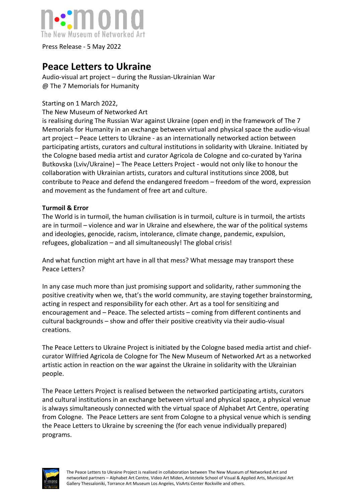

Press Release - 5 May 2022

## **Peace Letters to Ukraine**

Audio-visual art project – during the Russian-Ukrainian War @ The 7 Memorials for Humanity

## Starting on 1 March 2022,

The New Museum of Networked Art

is realising during The Russian War against Ukraine (open end) in the framework of The 7 Memorials for Humanity in an exchange between virtual and physical space the audio-visual art project – Peace Letters to Ukraine - as an internationally networked action between participating artists, curators and cultural institutions in solidarity with Ukraine. Initiated by the Cologne based media artist and curator Agricola de Cologne and co-curated by Yarina Butkovska (Lviv/Ukraine) – The Peace Letters Project - would not only like to honour the collaboration with Ukrainian artists, curators and cultural institutions since 2008, but contribute to Peace and defend the endangered freedom – freedom of the word, expression and movement as the fundament of free art and culture.

## **Turmoil & Error**

The World is in turmoil, the human civilisation is in turmoil, culture is in turmoil, the artists are in turmoil – violence and war in Ukraine and elsewhere, the war of the political systems and ideologies, genocide, racism, intolerance, climate change, pandemic, expulsion, refugees, globalization – and all simultaneously! The global crisis!

And what function might art have in all that mess? What message may transport these Peace Letters?

In any case much more than just promising support and solidarity, rather summoning the positive creativity when we, that's the world community, are staying together brainstorming, acting in respect and responsibility for each other. Art as a tool for sensitizing and encouragement and – Peace. The selected artists – coming from different continents and cultural backgrounds – show and offer their positive creativity via their audio-visual creations.

The Peace Letters to Ukraine Project is initiated by the Cologne based media artist and chiefcurator Wilfried Agricola de Cologne for The New Museum of Networked Art as a networked artistic action in reaction on the war against the Ukraine in solidarity with the Ukrainian people.

The Peace Letters Project is realised between the networked participating artists, curators and cultural institutions in an exchange between virtual and physical space, a physical venue is always simultaneously connected with the virtual space of Alphabet Art Centre, operating from Cologne. The Peace Letters are sent from Cologne to a physical venue which is sending the Peace Letters to Ukraine by screening the (for each venue individually prepared) programs.